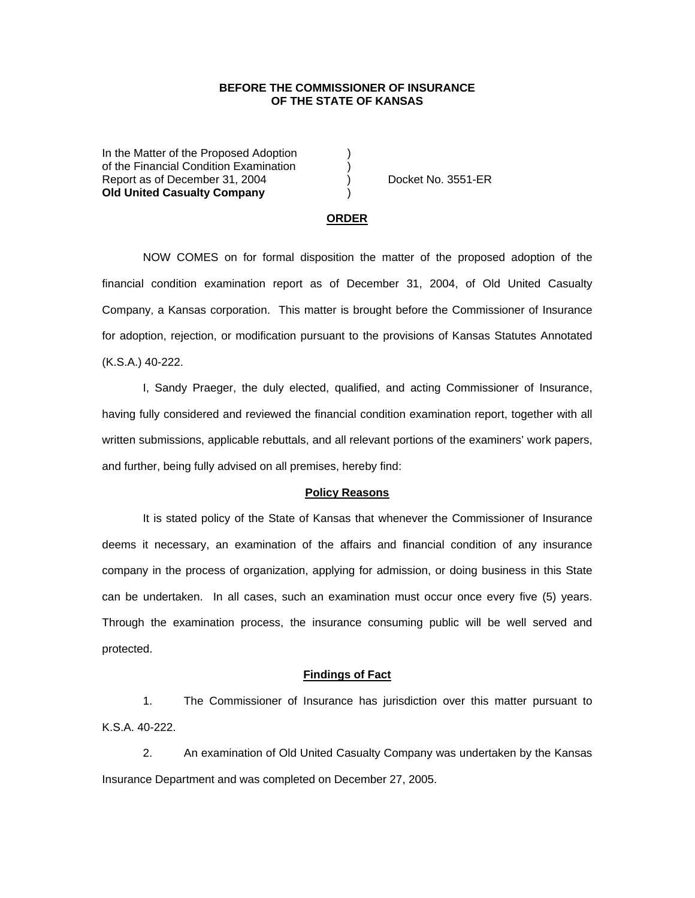# **BEFORE THE COMMISSIONER OF INSURANCE OF THE STATE OF KANSAS**

In the Matter of the Proposed Adoption of the Financial Condition Examination ) Report as of December 31, 2004 ) Docket No. 3551-ER **Old United Casualty Company** )

### **ORDER**

 NOW COMES on for formal disposition the matter of the proposed adoption of the financial condition examination report as of December 31, 2004, of Old United Casualty Company, a Kansas corporation. This matter is brought before the Commissioner of Insurance for adoption, rejection, or modification pursuant to the provisions of Kansas Statutes Annotated (K.S.A.) 40-222.

 I, Sandy Praeger, the duly elected, qualified, and acting Commissioner of Insurance, having fully considered and reviewed the financial condition examination report, together with all written submissions, applicable rebuttals, and all relevant portions of the examiners' work papers, and further, being fully advised on all premises, hereby find:

#### **Policy Reasons**

 It is stated policy of the State of Kansas that whenever the Commissioner of Insurance deems it necessary, an examination of the affairs and financial condition of any insurance company in the process of organization, applying for admission, or doing business in this State can be undertaken. In all cases, such an examination must occur once every five (5) years. Through the examination process, the insurance consuming public will be well served and protected.

### **Findings of Fact**

 1. The Commissioner of Insurance has jurisdiction over this matter pursuant to K.S.A. 40-222.

 2. An examination of Old United Casualty Company was undertaken by the Kansas Insurance Department and was completed on December 27, 2005.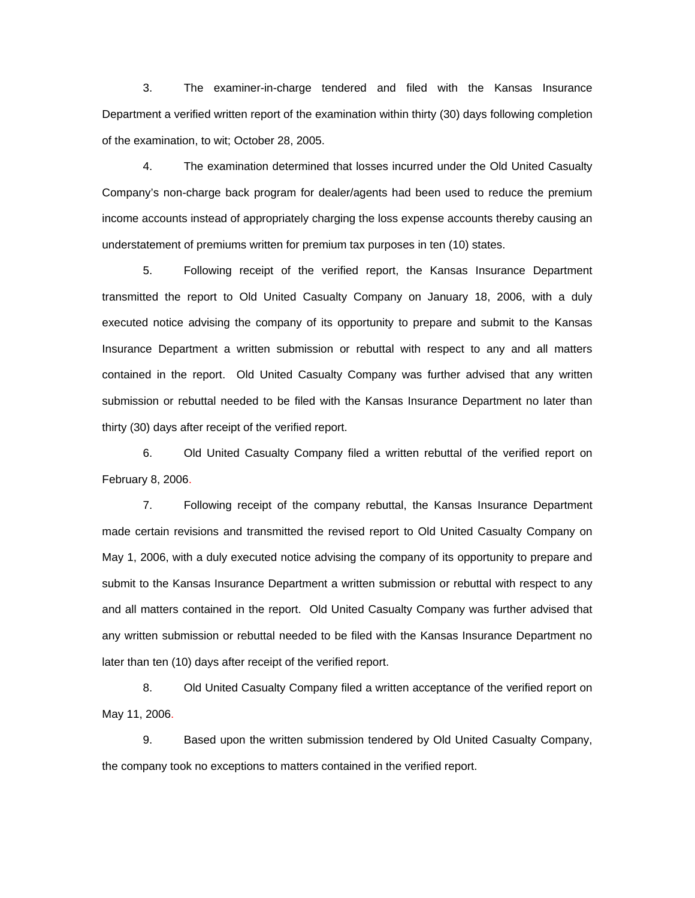3. The examiner-in-charge tendered and filed with the Kansas Insurance Department a verified written report of the examination within thirty (30) days following completion of the examination, to wit; October 28, 2005.

 4. The examination determined that losses incurred under the Old United Casualty Company's non-charge back program for dealer/agents had been used to reduce the premium income accounts instead of appropriately charging the loss expense accounts thereby causing an understatement of premiums written for premium tax purposes in ten (10) states.

5. Following receipt of the verified report, the Kansas Insurance Department transmitted the report to Old United Casualty Company on January 18, 2006, with a duly executed notice advising the company of its opportunity to prepare and submit to the Kansas Insurance Department a written submission or rebuttal with respect to any and all matters contained in the report. Old United Casualty Company was further advised that any written submission or rebuttal needed to be filed with the Kansas Insurance Department no later than thirty (30) days after receipt of the verified report.

 6. Old United Casualty Company filed a written rebuttal of the verified report on February 8, 2006.

 7. Following receipt of the company rebuttal, the Kansas Insurance Department made certain revisions and transmitted the revised report to Old United Casualty Company on May 1, 2006, with a duly executed notice advising the company of its opportunity to prepare and submit to the Kansas Insurance Department a written submission or rebuttal with respect to any and all matters contained in the report. Old United Casualty Company was further advised that any written submission or rebuttal needed to be filed with the Kansas Insurance Department no later than ten (10) days after receipt of the verified report.

 8. Old United Casualty Company filed a written acceptance of the verified report on May 11, 2006.

9. Based upon the written submission tendered by Old United Casualty Company, the company took no exceptions to matters contained in the verified report.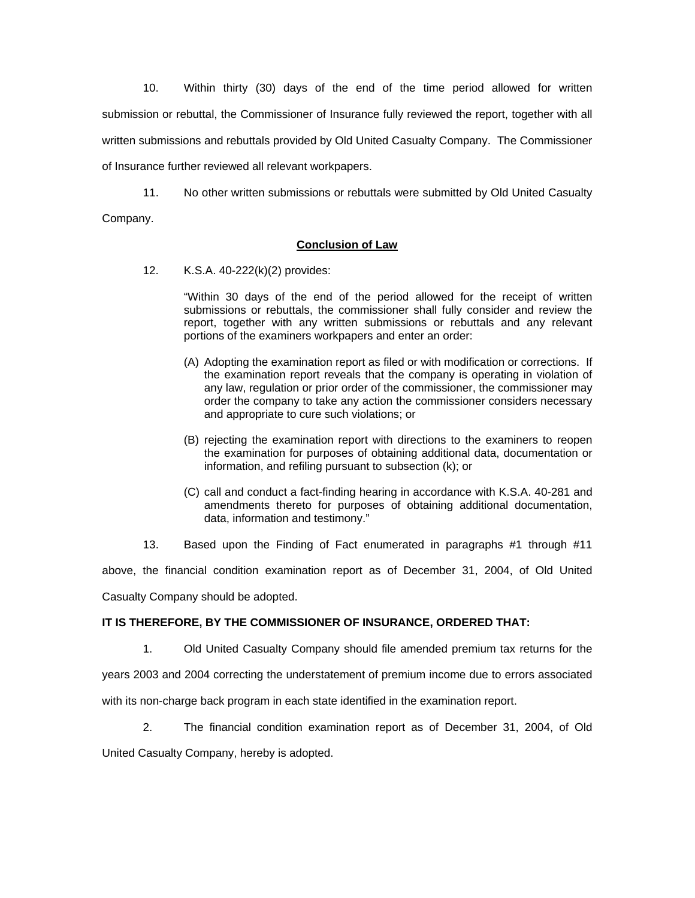10. Within thirty (30) days of the end of the time period allowed for written submission or rebuttal, the Commissioner of Insurance fully reviewed the report, together with all written submissions and rebuttals provided by Old United Casualty Company. The Commissioner of Insurance further reviewed all relevant workpapers.

 11. No other written submissions or rebuttals were submitted by Old United Casualty Company.

# **Conclusion of Law**

12. K.S.A. 40-222(k)(2) provides:

"Within 30 days of the end of the period allowed for the receipt of written submissions or rebuttals, the commissioner shall fully consider and review the report, together with any written submissions or rebuttals and any relevant portions of the examiners workpapers and enter an order:

- (A) Adopting the examination report as filed or with modification or corrections. If the examination report reveals that the company is operating in violation of any law, regulation or prior order of the commissioner, the commissioner may order the company to take any action the commissioner considers necessary and appropriate to cure such violations; or
- (B) rejecting the examination report with directions to the examiners to reopen the examination for purposes of obtaining additional data, documentation or information, and refiling pursuant to subsection (k); or
- (C) call and conduct a fact-finding hearing in accordance with K.S.A. 40-281 and amendments thereto for purposes of obtaining additional documentation, data, information and testimony."
- 13. Based upon the Finding of Fact enumerated in paragraphs #1 through #11

above, the financial condition examination report as of December 31, 2004, of Old United Casualty Company should be adopted.

# **IT IS THEREFORE, BY THE COMMISSIONER OF INSURANCE, ORDERED THAT:**

1. Old United Casualty Company should file amended premium tax returns for the

years 2003 and 2004 correcting the understatement of premium income due to errors associated

with its non-charge back program in each state identified in the examination report.

2. The financial condition examination report as of December 31, 2004, of Old United Casualty Company, hereby is adopted.